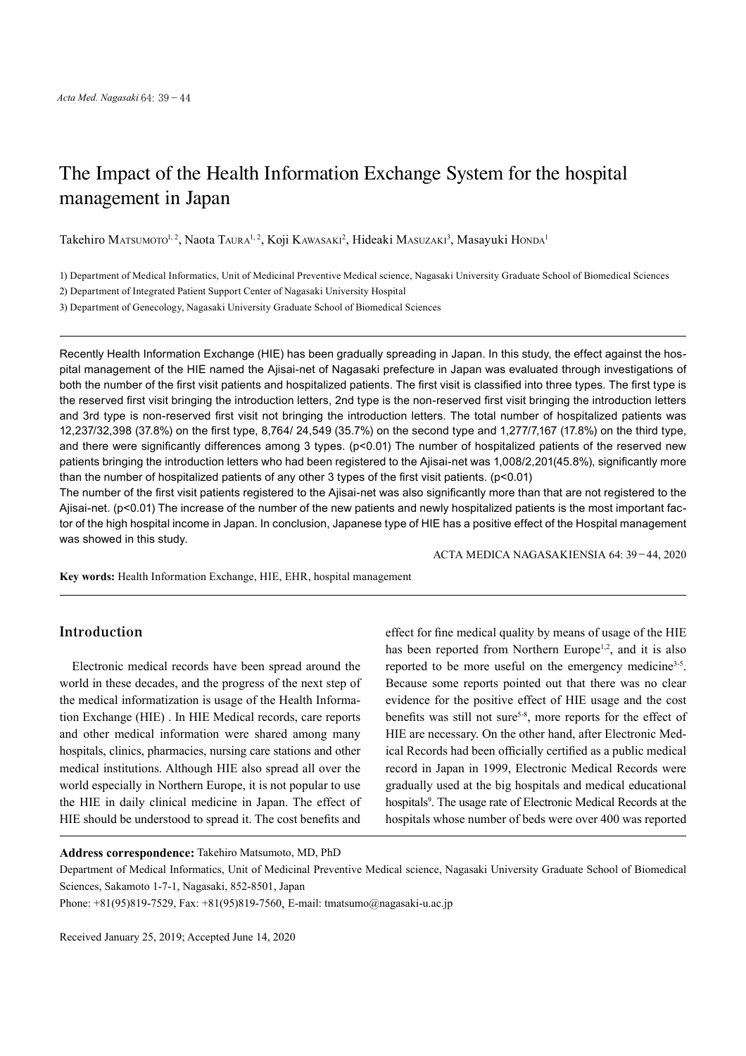# The Impact of the Health Information Exchange System for the hospital management in Japan

Takehiro Matsumoto<sup>i, 2</sup>, Naota Taura<sup>i, 2</sup>, Koji Kawasaki<sup>2</sup>, Hideaki Masuzaki<sup>3</sup>, Masayuki Honda<sup>i</sup>

1) Department of Medical Informatics, Unit of Medicinal Preventive Medical science, Nagasaki University Graduate School of Biomedical Sciences

2) Department of Integrated Patient Support Center of Nagasaki University Hospital

3) Department of Genecology, Nagasaki University Graduate School of Biomedical Sciences

Recently Health Information Exchange (HIE) has been gradually spreading in Japan. In this study, the effect against the hospital management of the HIE named the Ajisai-net of Nagasaki prefecture in Japan was evaluated through investigations of both the number of the first visit patients and hospitalized patients. The first visit is classified into three types. The first type is the reserved first visit bringing the introduction letters, 2nd type is the non-reserved first visit bringing the introduction letters and 3rd type is non-reserved first visit not bringing the introduction letters. The total number of hospitalized patients was 12,237/32,398 (37.8%) on the first type, 8,764/ 24,549 (35.7%) on the second type and 1,277/7,167 (17.8%) on the third type, and there were significantly differences among 3 types. (p<0.01) The number of hospitalized patients of the reserved new patients bringing the introduction letters who had been registered to the Ajisai-net was 1,008/2,201(45.8%), significantly more than the number of hospitalized patients of any other 3 types of the first visit patients. (p<0.01)

The number of the first visit patients registered to the Ajisai-net was also significantly more than that are not registered to the Ajisai-net. (p<0.01) The increase of the number of the new patients and newly hospitalized patients is the most important factor of the high hospital income in Japan. In conclusion, Japanese type of HIE has a positive effect of the Hospital management was showed in this study.

ACTA MEDICA NAGASAKIENSIA 64: 39−44, 2020

**Key words:** Health Information Exchange, HIE, EHR, hospital management

# **Introduction**

Electronic medical records have been spread around the world in these decades, and the progress of the next step of the medical informatization is usage of the Health Information Exchange (HIE) . In HIE Medical records, care reports and other medical information were shared among many hospitals, clinics, pharmacies, nursing care stations and other medical institutions. Although HIE also spread all over the world especially in Northern Europe, it is not popular to use the HIE in daily clinical medicine in Japan. The effect of HIE should be understood to spread it. The cost benefits and

effect for fine medical quality by means of usage of the HIE has been reported from Northern Europe<sup>1,2</sup>, and it is also reported to be more useful on the emergency medicine<sup>3-5</sup>. Because some reports pointed out that there was no clear evidence for the positive effect of HIE usage and the cost benefits was still not sure<sup>5-8</sup>, more reports for the effect of HIE are necessary. On the other hand, after Electronic Medical Records had been officially certified as a public medical record in Japan in 1999, Electronic Medical Records were gradually used at the big hospitals and medical educational hospitals<sup>9</sup>. The usage rate of Electronic Medical Records at the hospitals whose number of beds were over 400 was reported

**Address correspondence:** Takehiro Matsumoto, MD, PhD

Department of Medical Informatics, Unit of Medicinal Preventive Medical science, Nagasaki University Graduate School of Biomedical Sciences, Sakamoto 1-7-1, Nagasaki, 852-8501, Japan

Phone: +81(95)819-7529, Fax: +81(95)819-7560, E-mail: tmatsumo@nagasaki-u.ac.jp

Received January 25, 2019; Accepted June 14, 2020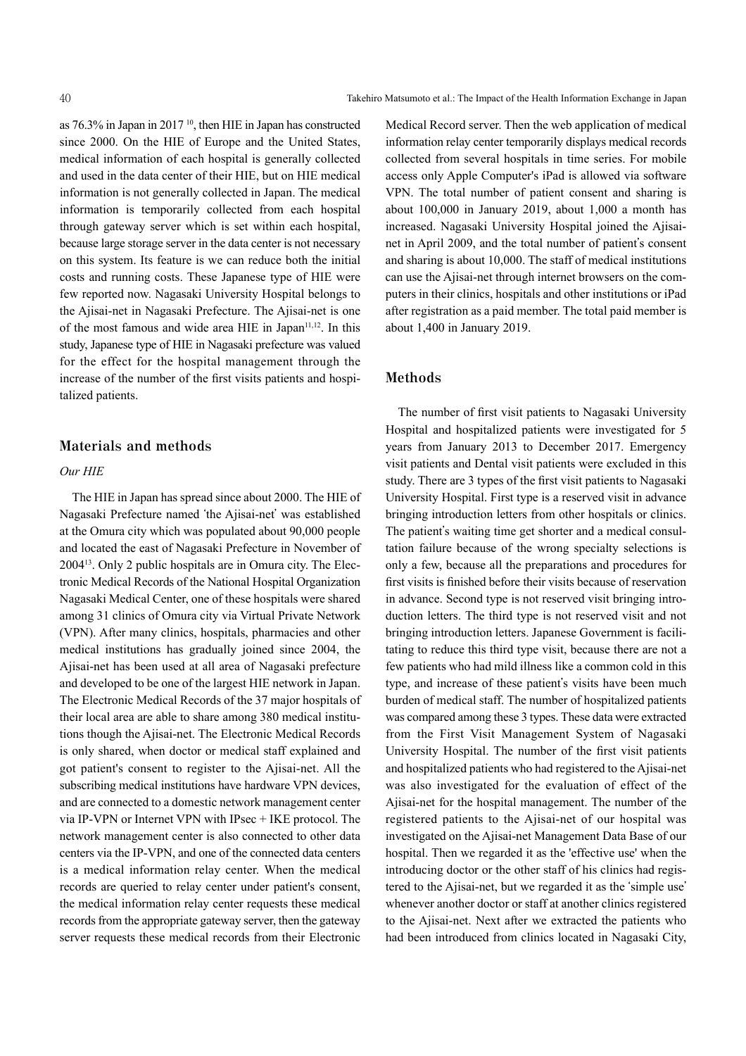as 76.3% in Japan in 2017 <sup>10</sup> , then HIE in Japan has constructed since 2000. On the HIE of Europe and the United States, medical information of each hospital is generally collected and used in the data center of their HIE, but on HIE medical information is not generally collected in Japan. The medical information is temporarily collected from each hospital through gateway server which is set within each hospital, because large storage server in the data center is not necessary on this system. Its feature is we can reduce both the initial costs and running costs. These Japanese type of HIE were few reported now. Nagasaki University Hospital belongs to the Ajisai-net in Nagasaki Prefecture. The Ajisai-net is one of the most famous and wide area HIE in Japan<sup>11,12</sup>. In this study, Japanese type of HIE in Nagasaki prefecture was valued for the effect for the hospital management through the increase of the number of the first visits patients and hospitalized patients.

## **Materials and methods**

#### *Our HIE*

The HIE in Japan has spread since about 2000. The HIE of Nagasaki Prefecture named ʻthe Ajisai-net' was established at the Omura city which was populated about 90,000 people and located the east of Nagasaki Prefecture in November of 200413 . Only 2 public hospitals are in Omura city. The Electronic Medical Records of the National Hospital Organization Nagasaki Medical Center, one of these hospitals were shared among 31 clinics of Omura city via Virtual Private Network (VPN). After many clinics, hospitals, pharmacies and other medical institutions has gradually joined since 2004, the Ajisai-net has been used at all area of Nagasaki prefecture and developed to be one of the largest HIE network in Japan. The Electronic Medical Records of the 37 major hospitals of their local area are able to share among 380 medical institutions though the Ajisai-net. The Electronic Medical Records is only shared, when doctor or medical staff explained and got patient's consent to register to the Ajisai-net. All the subscribing medical institutions have hardware VPN devices, and are connected to a domestic network management center via IP-VPN or Internet VPN with IPsec + IKE protocol. The network management center is also connected to other data centers via the IP-VPN, and one of the connected data centers is a medical information relay center. When the medical records are queried to relay center under patient's consent, the medical information relay center requests these medical records from the appropriate gateway server, then the gateway server requests these medical records from their Electronic

Medical Record server. Then the web application of medical information relay center temporarily displays medical records collected from several hospitals in time series. For mobile access only Apple Computer's iPad is allowed via software VPN. The total number of patient consent and sharing is about 100,000 in January 2019, about 1,000 a month has increased. Nagasaki University Hospital joined the Ajisainet in April 2009, and the total number of patient's consent and sharing is about 10,000. The staff of medical institutions can use the Ajisai-net through internet browsers on the computers in their clinics, hospitals and other institutions or iPad after registration as a paid member. The total paid member is about 1,400 in January 2019.

# **Methods**

The number of first visit patients to Nagasaki University Hospital and hospitalized patients were investigated for 5 years from January 2013 to December 2017. Emergency visit patients and Dental visit patients were excluded in this study. There are 3 types of the first visit patients to Nagasaki University Hospital. First type is a reserved visit in advance bringing introduction letters from other hospitals or clinics. The patient's waiting time get shorter and a medical consultation failure because of the wrong specialty selections is only a few, because all the preparations and procedures for first visits is finished before their visits because of reservation in advance. Second type is not reserved visit bringing introduction letters. The third type is not reserved visit and not bringing introduction letters. Japanese Government is facilitating to reduce this third type visit, because there are not a few patients who had mild illness like a common cold in this type, and increase of these patient's visits have been much burden of medical staff. The number of hospitalized patients was compared among these 3 types. These data were extracted from the First Visit Management System of Nagasaki University Hospital. The number of the first visit patients and hospitalized patients who had registered to the Ajisai-net was also investigated for the evaluation of effect of the Ajisai-net for the hospital management. The number of the registered patients to the Ajisai-net of our hospital was investigated on the Ajisai-net Management Data Base of our hospital. Then we regarded it as the 'effective use' when the introducing doctor or the other staff of his clinics had registered to the Ajisai-net, but we regarded it as the ʻsimple use' whenever another doctor or staff at another clinics registered to the Ajisai-net. Next after we extracted the patients who had been introduced from clinics located in Nagasaki City,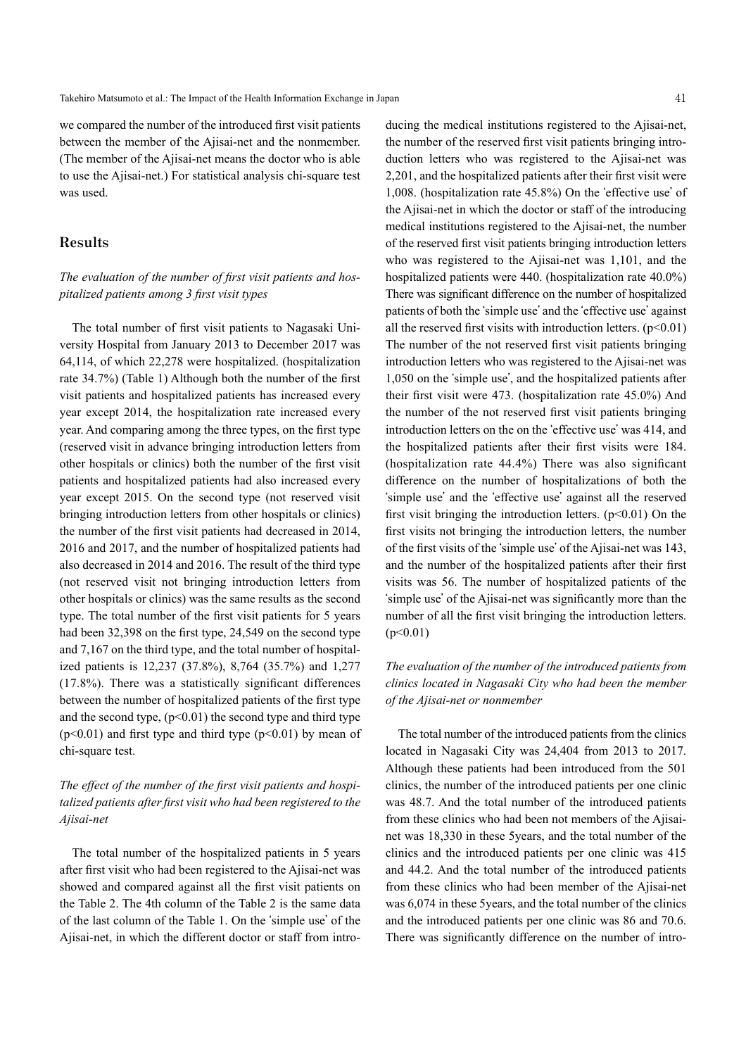we compared the number of the introduced first visit patients between the member of the Ajisai-net and the nonmember. (The member of the Ajisai-net means the doctor who is able to use the Ajisai-net.) For statistical analysis chi-square test was used.

### **Results**

#### *The evaluation of the number of first visit patients and hospitalized patients among 3 first visit types*

The total number of first visit patients to Nagasaki University Hospital from January 2013 to December 2017 was 64,114, of which 22,278 were hospitalized. (hospitalization rate 34.7%) (Table 1) Although both the number of the first visit patients and hospitalized patients has increased every year except 2014, the hospitalization rate increased every year. And comparing among the three types, on the first type (reserved visit in advance bringing introduction letters from other hospitals or clinics) both the number of the first visit patients and hospitalized patients had also increased every year except 2015. On the second type (not reserved visit bringing introduction letters from other hospitals or clinics) the number of the first visit patients had decreased in 2014, 2016 and 2017, and the number of hospitalized patients had also decreased in 2014 and 2016. The result of the third type (not reserved visit not bringing introduction letters from other hospitals or clinics) was the same results as the second type. The total number of the first visit patients for 5 years had been 32,398 on the first type, 24,549 on the second type and 7,167 on the third type, and the total number of hospitalized patients is 12,237 (37.8%), 8,764 (35.7%) and 1,277 (17.8%). There was a statistically significant differences between the number of hospitalized patients of the first type and the second type,  $(p<0.01)$  the second type and third type  $(p<0.01)$  and first type and third type  $(p<0.01)$  by mean of chi-square test.

# *The effect of the number of the first visit patients and hospitalized patients after first visit who had been registered to the Ajisai-net*

The total number of the hospitalized patients in 5 years after first visit who had been registered to the Ajisai-net was showed and compared against all the first visit patients on the Table 2. The 4th column of the Table 2 is the same data of the last column of the Table 1. On the ʻsimple use' of the Ajisai-net, in which the different doctor or staff from introducing the medical institutions registered to the Ajisai-net, the number of the reserved first visit patients bringing introduction letters who was registered to the Ajisai-net was 2,201, and the hospitalized patients after their first visit were 1,008. (hospitalization rate 45.8%) On the ʻeffective use' of the Ajisai-net in which the doctor or staff of the introducing medical institutions registered to the Ajisai-net, the number of the reserved first visit patients bringing introduction letters who was registered to the Ajisai-net was 1,101, and the hospitalized patients were 440. (hospitalization rate 40.0%) There was significant difference on the number of hospitalized patients of both the ʻsimple use' and the ʻeffective use' against all the reserved first visits with introduction letters.  $(p<0.01)$ The number of the not reserved first visit patients bringing introduction letters who was registered to the Ajisai-net was 1,050 on the ʻsimple use', and the hospitalized patients after their first visit were 473. (hospitalization rate 45.0%) And the number of the not reserved first visit patients bringing introduction letters on the on the 'effective use' was 414, and the hospitalized patients after their first visits were 184. (hospitalization rate 44.4%) There was also significant difference on the number of hospitalizations of both the ʻsimple use' and the ʻeffective use' against all the reserved first visit bringing the introduction letters.  $(p<0.01)$  On the first visits not bringing the introduction letters, the number of the first visits of the ʻsimple use' of the Ajisai-net was 143, and the number of the hospitalized patients after their first visits was 56. The number of hospitalized patients of the ʻsimple use' of the Ajisai-net was significantly more than the number of all the first visit bringing the introduction letters.  $(p<0.01)$ 

# *The evaluation of the number of the introduced patients from clinics located in Nagasaki City who had been the member of the Ajisai-net or nonmember*

The total number of the introduced patients from the clinics located in Nagasaki City was 24,404 from 2013 to 2017. Although these patients had been introduced from the 501 clinics, the number of the introduced patients per one clinic was 48.7. And the total number of the introduced patients from these clinics who had been not members of the Ajisainet was 18,330 in these 5years, and the total number of the clinics and the introduced patients per one clinic was 415 and 44.2. And the total number of the introduced patients from these clinics who had been member of the Ajisai-net was 6,074 in these 5years, and the total number of the clinics and the introduced patients per one clinic was 86 and 70.6. There was significantly difference on the number of intro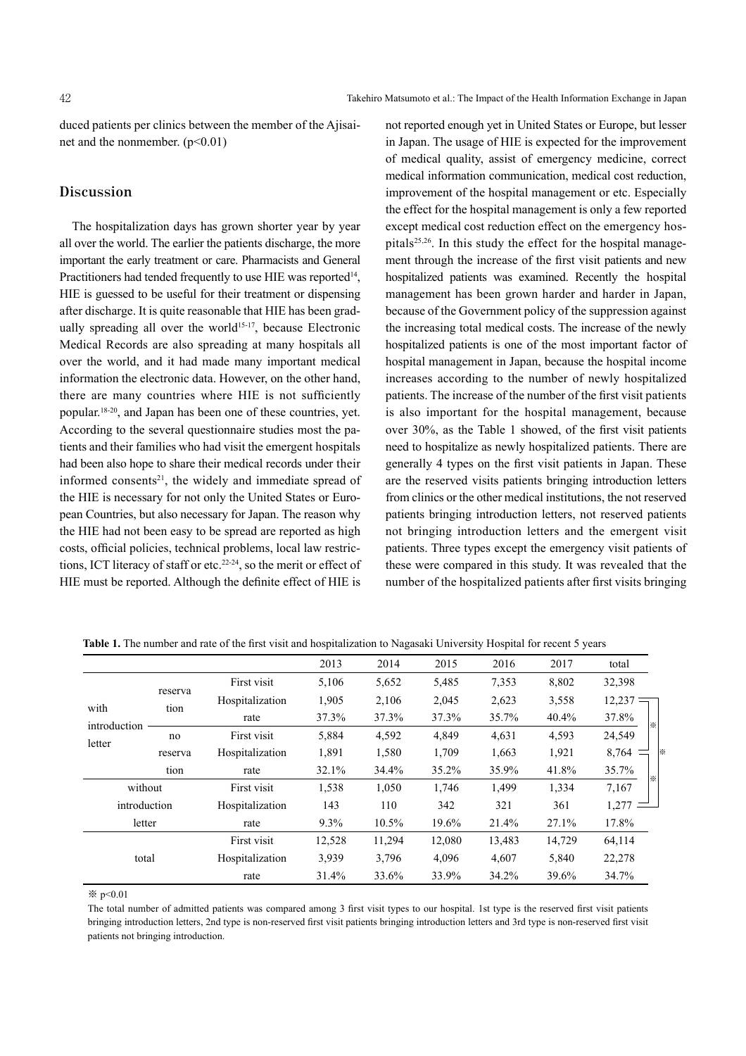duced patients per clinics between the member of the Ajisainet and the nonmember.  $(p<0.01)$ 

# **Discussion**

The hospitalization days has grown shorter year by year all over the world. The earlier the patients discharge, the more important the early treatment or care. Pharmacists and General Practitioners had tended frequently to use HIE was reported<sup>14</sup>, HIE is guessed to be useful for their treatment or dispensing after discharge. It is quite reasonable that HIE has been gradually spreading all over the world<sup>15-17</sup>, because Electronic Medical Records are also spreading at many hospitals all over the world, and it had made many important medical information the electronic data. However, on the other hand, there are many countries where HIE is not sufficiently popular. 18-20 , and Japan has been one of these countries, yet. According to the several questionnaire studies most the patients and their families who had visit the emergent hospitals had been also hope to share their medical records under their informed consents<sup>21</sup>, the widely and immediate spread of the HIE is necessary for not only the United States or European Countries, but also necessary for Japan. The reason why the HIE had not been easy to be spread are reported as high costs, official policies, technical problems, local law restrictions, ICT literacy of staff or etc. 22-24 , so the merit or effect of HIE must be reported. Although the definite effect of HIE is not reported enough yet in United States or Europe, but lesser in Japan. The usage of HIE is expected for the improvement of medical quality, assist of emergency medicine, correct medical information communication, medical cost reduction, improvement of the hospital management or etc. Especially the effect for the hospital management is only a few reported except medical cost reduction effect on the emergency hospitals<sup>25,26</sup>. In this study the effect for the hospital management through the increase of the first visit patients and new hospitalized patients was examined. Recently the hospital management has been grown harder and harder in Japan, because of the Government policy of the suppression against the increasing total medical costs. The increase of the newly hospitalized patients is one of the most important factor of hospital management in Japan, because the hospital income increases according to the number of newly hospitalized patients. The increase of the number of the first visit patients is also important for the hospital management, because over 30%, as the Table 1 showed, of the first visit patients need to hospitalize as newly hospitalized patients. There are generally 4 types on the first visit patients in Japan. These are the reserved visits patients bringing introduction letters from clinics or the other medical institutions, the not reserved patients bringing introduction letters, not reserved patients not bringing introduction letters and the emergent visit patients. Three types except the emergency visit patients of these were compared in this study. It was revealed that the number of the hospitalized patients after first visits bringing

|                                |                 |                 | 2013   | 2014   | 2015   | 2016   | 2017   | total      |
|--------------------------------|-----------------|-----------------|--------|--------|--------|--------|--------|------------|
|                                | reserva<br>tion | First visit     | 5,106  | 5,652  | 5,485  | 7,353  | 8,802  | 32,398     |
| with<br>introduction<br>letter |                 | Hospitalization | 1,905  | 2,106  | 2,045  | 2,623  | 3,558  | $12,237 =$ |
|                                |                 | rate            | 37.3%  | 37.3%  | 37.3%  | 35.7%  | 40.4%  | 37.8%<br>☀ |
|                                | no              | First visit     | 5,884  | 4,592  | 4,849  | 4,631  | 4,593  | 24,549     |
|                                | reserva         | Hospitalization | 1,891  | 1,580  | 1,709  | 1,663  | 1,921  | 8,764      |
|                                | tion            | rate            | 32.1%  | 34.4%  | 35.2%  | 35.9%  | 41.8%  | 35.7%<br>☀ |
| without                        |                 | First visit     | 1,538  | 1,050  | 1,746  | 1,499  | 1,334  | 7,167      |
| introduction                   |                 | Hospitalization | 143    | 110    | 342    | 321    | 361    | 1,277      |
| letter                         |                 | rate            | 9.3%   | 10.5%  | 19.6%  | 21.4%  | 27.1%  | 17.8%      |
| total                          |                 | First visit     | 12,528 | 11,294 | 12,080 | 13,483 | 14,729 | 64,114     |
|                                |                 | Hospitalization | 3,939  | 3,796  | 4,096  | 4,607  | 5,840  | 22,278     |
|                                |                 | rate            | 31.4%  | 33.6%  | 33.9%  | 34.2%  | 39.6%  | 34.7%      |

**Table 1.** The number and rate of the first visit and hospitalization to Nagasaki University Hospital for recent 5 years

※ p<0.01

The total number of admitted patients was compared among 3 first visit types to our hospital. 1st type is the reserved first visit patients bringing introduction letters, 2nd type is non-reserved first visit patients bringing introduction letters and 3rd type is non-reserved first visit patients not bringing introduction.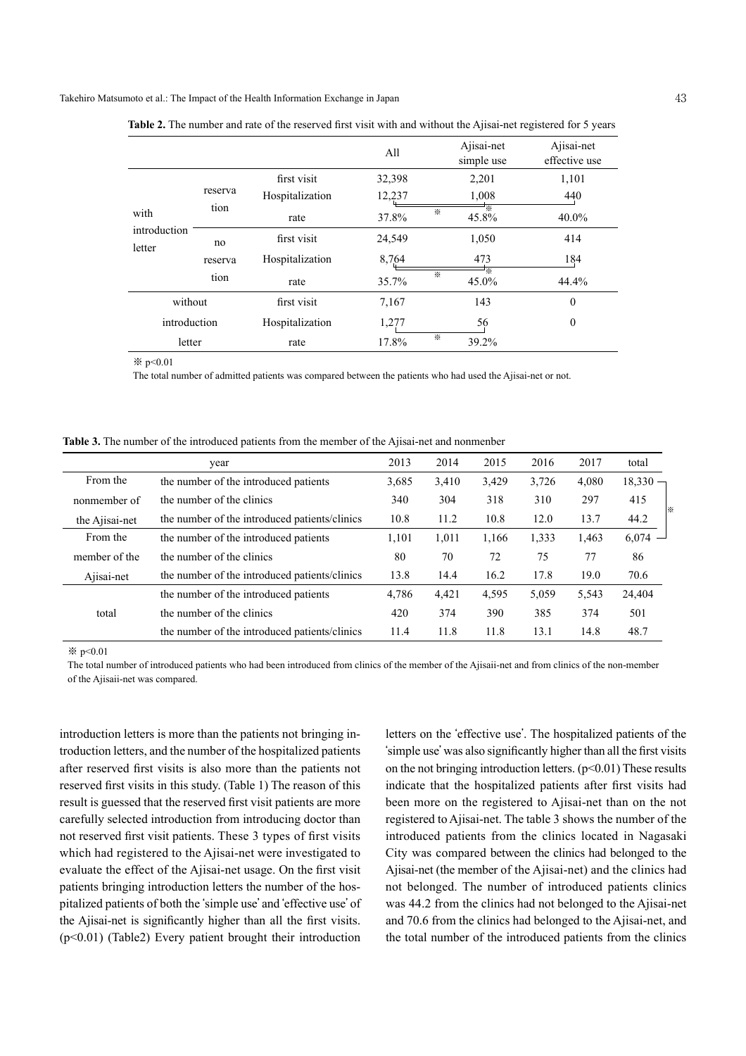Takehiro Matsumoto et al.: The Impact of the Health Information Exchange in Japan 43

|                                |         |                 | All    |   | Ajisai-net<br>simple use | Ajisai-net<br>effective use |
|--------------------------------|---------|-----------------|--------|---|--------------------------|-----------------------------|
| with<br>introduction<br>letter | reserva | first visit     | 32,398 |   | 2,201                    | 1,101                       |
|                                |         | Hospitalization | 12,237 |   | 1,008                    | 440                         |
|                                | tion    | rate            | 37.8%  | ⋇ | 45.8%                    | $40.0\%$                    |
|                                | no      | first visit     | 24,549 |   | 1,050                    | 414                         |
|                                | reserva | Hospitalization | 8,764  |   | 473                      | 184                         |
|                                | tion    | rate            | 35.7%  | ⋇ | ⋇<br>45.0%               | 44.4%                       |
| without                        |         | first visit     | 7,167  |   | 143                      | $\mathbf{0}$                |
| introduction                   |         | Hospitalization | 1,277  |   | 56                       | $\theta$                    |
| letter                         |         | rate            | 17.8%  | ⋇ | 39.2%                    |                             |

**Table 2.** The number and rate of the reserved first visit with and without the Ajisai-net registered for 5 years

※ p<0.01

The total number of admitted patients was compared between the patients who had used the Ajisai-net or not.

**Table 3.** The number of the introduced patients from the member of the Ajisai-net and nonmenber

|                | year                                          | 2013  | 2014  | 2015  | 2016  | 2017  | total      |
|----------------|-----------------------------------------------|-------|-------|-------|-------|-------|------------|
| From the       | the number of the introduced patients         | 3,685 | 3,410 | 3,429 | 3,726 | 4,080 | $18,330 -$ |
| nonmember of   | the number of the clinics                     | 340   | 304   | 318   | 310   | 297   | 415        |
| the Ajisai-net | the number of the introduced patients/clinics |       | 11.2  | 10.8  | 12.0  | 13.7  | ⋇<br>44.2  |
| From the       | the number of the introduced patients         | 1,101 | 1,011 | 1,166 | 1,333 | 1,463 | $6,074 -$  |
| member of the  | the number of the clinics                     |       | 70    | 72    | 75    | 77    | 86         |
| Ajisai-net     | the number of the introduced patients/clinics | 13.8  | 14.4  | 16.2  | 17.8  | 19.0  | 70.6       |
| total          | the number of the introduced patients         | 4,786 | 4,421 | 4,595 | 5,059 | 5,543 | 24,404     |
|                | the number of the clinics                     | 420   | 374   | 390   | 385   | 374   | 501        |
|                | the number of the introduced patients/clinics | 11.4  | 11.8  | 11.8  | 13.1  | 14.8  | 48.7       |

※ p<0.01

The total number of introduced patients who had been introduced from clinics of the member of the Ajisaii-net and from clinics of the non-member of the Ajisaii-net was compared.

introduction letters is more than the patients not bringing introduction letters, and the number of the hospitalized patients after reserved first visits is also more than the patients not reserved first visits in this study. (Table 1) The reason of this result is guessed that the reserved first visit patients are more carefully selected introduction from introducing doctor than not reserved first visit patients. These 3 types of first visits which had registered to the Ajisai-net were investigated to evaluate the effect of the Ajisai-net usage. On the first visit patients bringing introduction letters the number of the hospitalized patients of both the ʻsimple use' and ʻeffective use' of the Ajisai-net is significantly higher than all the first visits. (p<0.01) (Table2) Every patient brought their introduction

letters on the ʻeffective use'. The hospitalized patients of the ʻsimple use' was also significantly higher than all the first visits on the not bringing introduction letters.  $(p<0.01)$  These results indicate that the hospitalized patients after first visits had been more on the registered to Ajisai-net than on the not registered to Ajisai-net. The table 3 shows the number of the introduced patients from the clinics located in Nagasaki City was compared between the clinics had belonged to the Ajisai-net (the member of the Ajisai-net) and the clinics had not belonged. The number of introduced patients clinics was 44.2 from the clinics had not belonged to the Ajisai-net and 70.6 from the clinics had belonged to the Ajisai-net, and the total number of the introduced patients from the clinics